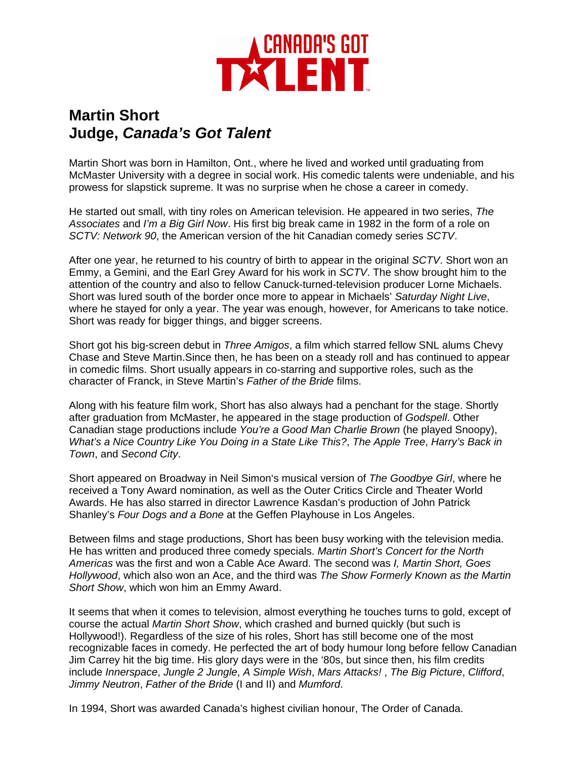

## **Martin Short Judge,** *Canada's Got Talent*

Martin Short was born in Hamilton, Ont., where he lived and worked until graduating from McMaster University with a degree in social work. His comedic talents were undeniable, and his prowess for slapstick supreme. It was no surprise when he chose a career in comedy.

He started out small, with tiny roles on American television. He appeared in two series, *The Associates* and *I'm a Big Girl Now*. His first big break came in 1982 in the form of a role on *SCTV: Network 90*, the American version of the hit Canadian comedy series *SCTV*.

After one year, he returned to his country of birth to appear in the original *SCTV*. Short won an Emmy, a Gemini, and the Earl Grey Award for his work in *SCTV*. The show brought him to the attention of the country and also to fellow Canuck-turned-television producer Lorne Michaels. Short was lured south of the border once more to appear in Michaels' *Saturday Night Live*, where he stayed for only a year. The year was enough, however, for Americans to take notice. Short was ready for bigger things, and bigger screens.

Short got his big-screen debut in *Three Amigos*, a film which starred fellow SNL alums Chevy Chase and Steve Martin.Since then, he has been on a steady roll and has continued to appear in comedic films. Short usually appears in co-starring and supportive roles, such as the character of Franck, in Steve Martin's *Father of the Bride* films.

Along with his feature film work, Short has also always had a penchant for the stage. Shortly after graduation from McMaster, he appeared in the stage production of *Godspell*. Other Canadian stage productions include *You're a Good Man Charlie Brown* (he played Snoopy), *What's a Nice Country Like You Doing in a State Like This?*, *The Apple Tree*, *Harry's Back in Town*, and *Second City*.

Short appeared on Broadway in Neil Simon's musical version of *The Goodbye Girl*, where he received a Tony Award nomination, as well as the Outer Critics Circle and Theater World Awards. He has also starred in director Lawrence Kasdan's production of John Patrick Shanley's *Four Dogs and a Bone* at the Geffen Playhouse in Los Angeles.

Between films and stage productions, Short has been busy working with the television media. He has written and produced three comedy specials. *Martin Short's Concert for the North Americas* was the first and won a Cable Ace Award. The second was *I, Martin Short, Goes Hollywood*, which also won an Ace, and the third was *The Show Formerly Known as the Martin Short Show*, which won him an Emmy Award.

It seems that when it comes to television, almost everything he touches turns to gold, except of course the actual *Martin Short Show*, which crashed and burned quickly (but such is Hollywood!). Regardless of the size of his roles, Short has still become one of the most recognizable faces in comedy. He perfected the art of body humour long before fellow Canadian Jim Carrey hit the big time. His glory days were in the '80s, but since then, his film credits include *Innerspace*, *Jungle 2 Jungle*, *A Simple Wish*, *Mars Attacks!* , *The Big Picture*, *Clifford*, *Jimmy Neutron*, *Father of the Bride* (I and II) and *Mumford*.

In 1994, Short was awarded Canada's highest civilian honour, The Order of Canada.